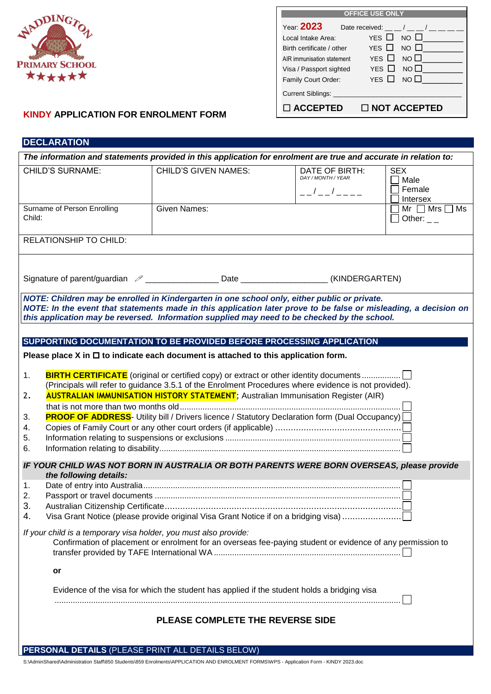

| <b>OFFICE USE ONLY</b>     |                              |  |  |  |  |  |  |
|----------------------------|------------------------------|--|--|--|--|--|--|
| Year. <b>2023</b>          | Date received: / / /         |  |  |  |  |  |  |
| Local Intake Area:         | YES □ NO 凵                   |  |  |  |  |  |  |
| Birth certificate / other  | YES $\Box$ NO $\Box$         |  |  |  |  |  |  |
| AIR immunisation statement | YES $\square$<br>$NO$ $\Box$ |  |  |  |  |  |  |
| Visa / Passport sighted    | YES $\Box$<br>$NO$ $\Box$    |  |  |  |  |  |  |
| Family Court Order:        | YES $\Box$<br>NO $\square$   |  |  |  |  |  |  |
| <b>Current Siblings:</b>   |                              |  |  |  |  |  |  |
| □ ACCEPTED                 | $\Box$ NOT ACCEPTED          |  |  |  |  |  |  |

## **KINDY APPLICATION FOR ENROLMENT FORM**

## **DECLARATION**

| The information and statements provided in this application for enrolment are true and accurate in relation to:                                                                                                                                                                                                                                                                                                                                                                                                                                                                                                                                                                                                                                                                                                                                                                                                                                                       |                             |                                                                                            |  |                                                             |                                                 |  |  |  |  |
|-----------------------------------------------------------------------------------------------------------------------------------------------------------------------------------------------------------------------------------------------------------------------------------------------------------------------------------------------------------------------------------------------------------------------------------------------------------------------------------------------------------------------------------------------------------------------------------------------------------------------------------------------------------------------------------------------------------------------------------------------------------------------------------------------------------------------------------------------------------------------------------------------------------------------------------------------------------------------|-----------------------------|--------------------------------------------------------------------------------------------|--|-------------------------------------------------------------|-------------------------------------------------|--|--|--|--|
| <b>CHILD'S SURNAME:</b>                                                                                                                                                                                                                                                                                                                                                                                                                                                                                                                                                                                                                                                                                                                                                                                                                                                                                                                                               |                             | <b>CHILD'S GIVEN NAMES:</b>                                                                |  | DATE OF BIRTH:<br>DAY / MONTH / YEAR<br>$-  / -  / - - - -$ | <b>SEX</b><br>$\Box$ Male<br>Female<br>Intersex |  |  |  |  |
| Child:                                                                                                                                                                                                                                                                                                                                                                                                                                                                                                                                                                                                                                                                                                                                                                                                                                                                                                                                                                | Surname of Person Enrolling | <b>Given Names:</b>                                                                        |  |                                                             |                                                 |  |  |  |  |
|                                                                                                                                                                                                                                                                                                                                                                                                                                                                                                                                                                                                                                                                                                                                                                                                                                                                                                                                                                       | RELATIONSHIP TO CHILD:      |                                                                                            |  |                                                             |                                                 |  |  |  |  |
|                                                                                                                                                                                                                                                                                                                                                                                                                                                                                                                                                                                                                                                                                                                                                                                                                                                                                                                                                                       |                             | Signature of parent/guardian 2 ____________________Date ____________________(KINDERGARTEN) |  |                                                             |                                                 |  |  |  |  |
| NOTE: Children may be enrolled in Kindergarten in one school only, either public or private.<br>NOTE: In the event that statements made in this application later prove to be false or misleading, a decision on<br>this application may be reversed. Information supplied may need to be checked by the school.                                                                                                                                                                                                                                                                                                                                                                                                                                                                                                                                                                                                                                                      |                             |                                                                                            |  |                                                             |                                                 |  |  |  |  |
|                                                                                                                                                                                                                                                                                                                                                                                                                                                                                                                                                                                                                                                                                                                                                                                                                                                                                                                                                                       |                             |                                                                                            |  |                                                             |                                                 |  |  |  |  |
|                                                                                                                                                                                                                                                                                                                                                                                                                                                                                                                                                                                                                                                                                                                                                                                                                                                                                                                                                                       |                             | SUPPORTING DOCUMENTATION TO BE PROVIDED BEFORE PROCESSING APPLICATION                      |  |                                                             |                                                 |  |  |  |  |
| Please place X in $\Box$ to indicate each document is attached to this application form.<br><b>BIRTH CERTIFICATE</b> (original or certified copy) or extract or other identity documents<br>1.<br>(Principals will refer to guidance 3.5.1 of the Enrolment Procedures where evidence is not provided).<br><b>AUSTRALIAN IMMUNISATION HISTORY STATEMENT</b> ; Australian Immunisation Register (AIR)<br>2.<br><b>PROOF OF ADDRESS</b> - Utility bill / Drivers licence / Statutory Declaration form (Dual Occupancy)<br>3.<br>4.<br>5.<br>6.<br>IF YOUR CHILD WAS NOT BORN IN AUSTRALIA OR BOTH PARENTS WERE BORN OVERSEAS, please provide<br>the following details:<br>1.<br>2.<br>3.<br>Visa Grant Notice (please provide original Visa Grant Notice if on a bridging visa)<br>4.<br>If your child is a temporary visa holder, you must also provide:<br>Confirmation of placement or enrolment for an overseas fee-paying student or evidence of any permission to |                             |                                                                                            |  |                                                             |                                                 |  |  |  |  |
| or                                                                                                                                                                                                                                                                                                                                                                                                                                                                                                                                                                                                                                                                                                                                                                                                                                                                                                                                                                    |                             |                                                                                            |  |                                                             |                                                 |  |  |  |  |
| Evidence of the visa for which the student has applied if the student holds a bridging visa                                                                                                                                                                                                                                                                                                                                                                                                                                                                                                                                                                                                                                                                                                                                                                                                                                                                           |                             |                                                                                            |  |                                                             |                                                 |  |  |  |  |
| PLEASE COMPLETE THE REVERSE SIDE                                                                                                                                                                                                                                                                                                                                                                                                                                                                                                                                                                                                                                                                                                                                                                                                                                                                                                                                      |                             |                                                                                            |  |                                                             |                                                 |  |  |  |  |